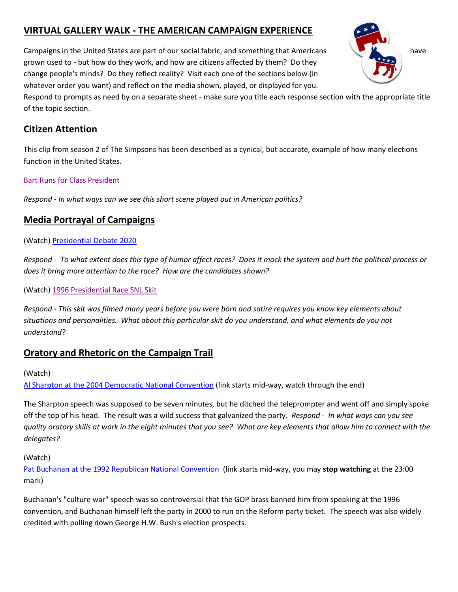# **VIRTUAL GALLERY WALK - THE AMERICAN CAMPAIGN EXPERIENCE**

Campaigns in the United States are part of our social fabric, and something that Americans have have grown used to - but how do they work, and how are citizens affected by them? Do they change people's minds? Do they reflect reality? Visit each one of the sections below (in whatever order you want) and reflect on the media shown, played, or displayed for you.

Respond to prompts as need by on a separate sheet - make sure you title each response section with the appropriate title of the topic section.

### **Citizen Attention**

This clip from season 2 of The Simpsons has been described as a cynical, but accurate, example of how many elections function in the United States.

### [Bart Runs for Class President](https://youtu.be/POB3Dr0uonc)

*Respond - In what ways can we see this short scene played out in American politics?*

## **Media Portrayal of Campaigns**

#### (Watch) [Presidential Debate 2020](https://youtu.be/Wsije1KetVw)

*Respond - To what extent does this type of humor affect races? Does it mock the system and hurt the political process or does it bring more attention to the race? How are the candidates shown?*

(Watch) [1996 Presidential Race SNL](https://www.youtube.com/watch?v=IQcCXvLgmlY) Skit

*Respond - This skit was filmed many years before you were born and satire requires you know key elements about situations and personalities. What about this particular skit do you understand, and what elements do you not understand?*

### **Oratory and Rhetoric on the Campaign Trail**

#### (Watch)

[Al Sharpton at the 2004 Democratic National Convention](https://youtu.be/2SBFREiCkf8?t=11m54s) (link starts mid-way, watch through the end)

The Sharpton speech was supposed to be seven minutes, but he ditched the teleprompter and went off and simply spoke off the top of his head. The result was a wild success that galvanized the party. *Respond - In what ways can you see quality oratory skills at work in the eight minutes that you see? What are key elements that allow him to connect with the delegates?*

(Watch)

[Pat Buchanan at the 1992 Republican National Convention](https://youtu.be/2olwuAy3_og?t=10m34s) (link starts mid-way, you may **stop watching** at the 23:00 mark)

Buchanan's "culture war" speech was so controversial that the GOP brass banned him from speaking at the 1996 convention, and Buchanan himself left the party in 2000 to run on the Reform party ticket. The speech was also widely credited with pulling down George H.W. Bush's election prospects.

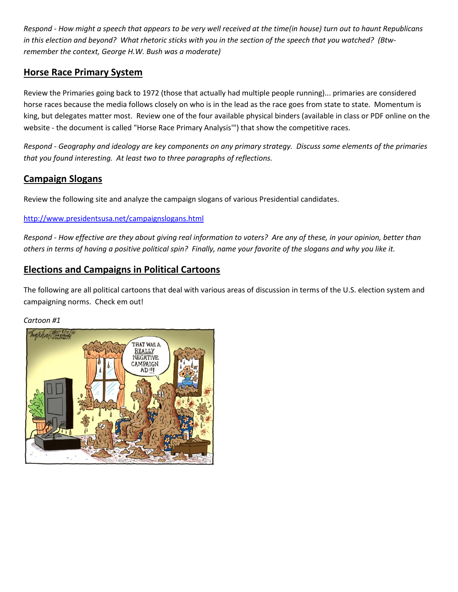*Respond - How might a speech that appears to be very well received at the time(in house) turn out to haunt Republicans in this election and beyond? What rhetoric sticks with you in the section of the speech that you watched? (Btwremember the context, George H.W. Bush was a moderate)*

### **Horse Race Primary System**

Review the Primaries going back to 1972 (those that actually had multiple people running)... primaries are considered horse races because the media follows closely on who is in the lead as the race goes from state to state. Momentum is king, but delegates matter most. Review one of the four available physical binders (available in class or PDF online on the website - the document is called "Horse Race Primary Analysis'") that show the competitive races.

*Respond - Geography and ideology are key components on any primary strategy. Discuss some elements of the primaries that you found interesting. At least two to three paragraphs of reflections.*

### **Campaign Slogans**

Review the following site and analyze the campaign slogans of various Presidential candidates.

### <http://www.presidentsusa.net/campaignslogans.html>

*Respond - How effective are they about giving real information to voters? Are any of these, in your opinion, better than others in terms of having a positive political spin? Finally, name your favorite of the slogans and why you like it.*

## **Elections and Campaigns in Political Cartoons**

The following are all political cartoons that deal with various areas of discussion in terms of the U.S. election system and campaigning norms. Check em out!

#### *Cartoon #1*